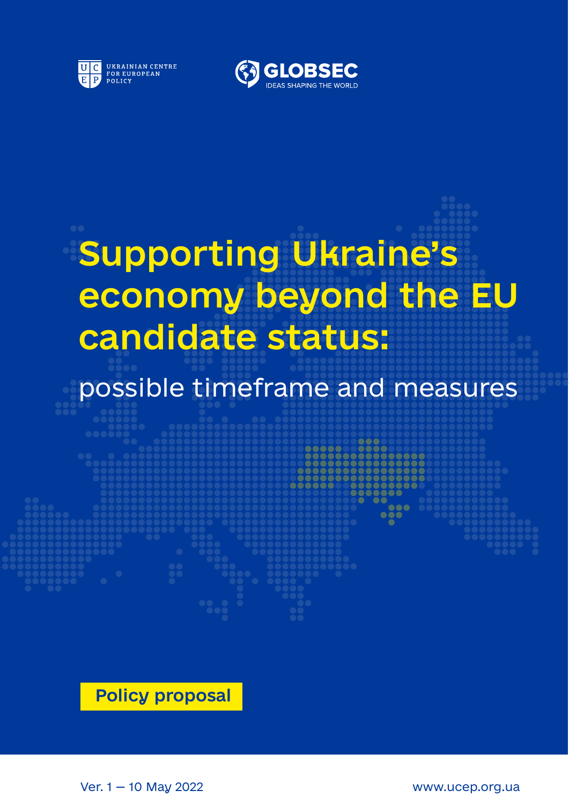



# Supporting Ukraine's economy beyond the EU candidate status:

## possible timeframe and measures

Policy proposal

Ver. 1 — 10 May 2022 www.ucep.org.ua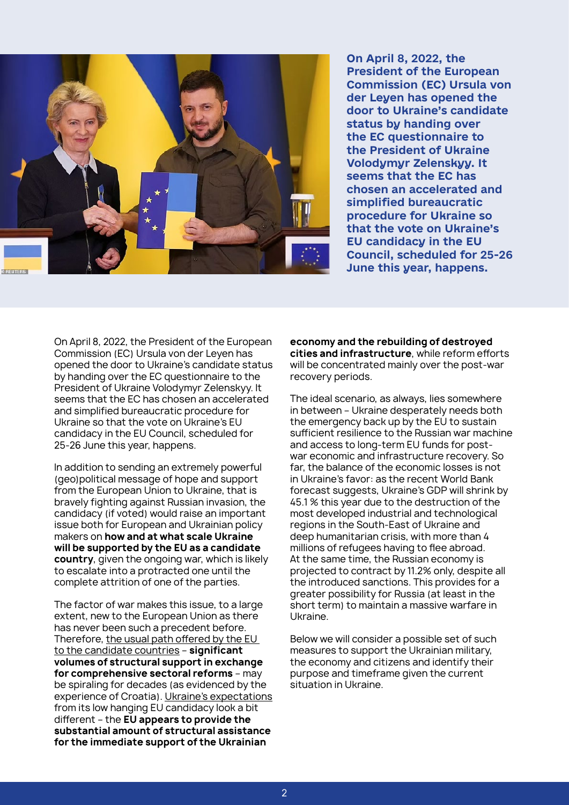

**On April 8, 2022, the President of the European Commission (EC) Ursula von der Leyen has opened the door to Ukraine's candidate status by handing over the EC questionnaire to the President of Ukraine Volodymyr Zelenskyy. It seems that the EС has chosen an accelerated and simplified bureaucratic procedure for Ukraine so that the vote on Ukraine's EU candidacy in the EU Council, scheduled for 25-26 June this year, happens.**

On April 8, 2022, the President of the European Commission (EC) Ursula von der Leyen has opened the door to Ukraine's candidate status by handing over the EC questionnaire to the President of Ukraine Volodymyr Zelenskyy. It seems that the EС has chosen an accelerated and simplified bureaucratic procedure for Ukraine so that the vote on Ukraine's EU candidacy in the EU Council, scheduled for 25-26 June this year, happens.

In addition to sending an extremely powerful (geo)political message of hope and support from the European Union to Ukraine, that is bravely fighting against Russian invasion, the candidacy (if voted) would raise an important issue both for European and Ukrainian policy makers on **how and at what scale Ukraine will be supported by the EU as a candidate country**, given the ongoing war, which is likely to escalate into a protracted one until the complete attrition of one of the parties.

The factor of war makes this issue, to a large extent, new to the European Union as there has never been such a precedent before. Therefore, the usual path offered by the EU to the candidate countries – **significant volumes of structural support in exchange for comprehensive sectoral reforms** – may be spiraling for decades (as evidenced by the experience of Croatia). Ukraine's expectations from its low hanging EU candidacy look a bit different – the **EU appears to provide the substantial amount of structural assistance for the immediate support of the Ukrainian** 

**economy and the rebuilding of destroyed cities and infrastructure**, while reform efforts will be concentrated mainly over the post-war recovery periods.

The ideal scenario, as always, lies somewhere in between – Ukraine desperately needs both the emergency back up by the EU to sustain sufficient resilience to the Russian war machine and access to long-term EU funds for postwar economic and infrastructure recovery. So far, the balance of the economic losses is not in Ukraine's favor: as the recent World Bank forecast suggests, Ukraine's GDP will shrink by 45.1 % this year due to the destruction of the most developed industrial and technological regions in the South-East of Ukraine and deep humanitarian crisis, with more than 4 millions of refugees having to flee abroad. At the same time, the Russian economy is projected to contract by 11.2% only, despite all the introduced sanctions. This provides for a greater possibility for Russia (at least in the short term) to maintain a massive warfare in Ukraine.

Below we will consider a possible set of such measures to support the Ukrainian military, the economy and citizens and identify their purpose and timeframe given the current situation in Ukraine.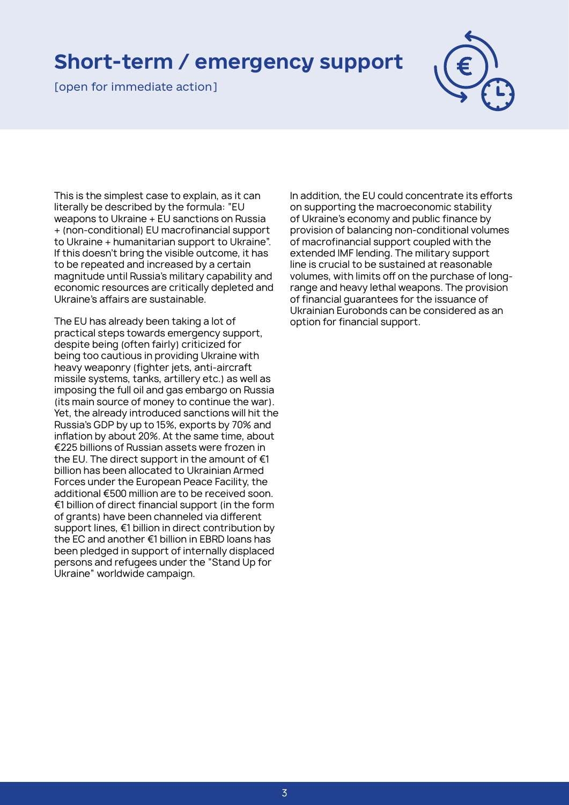#### **Short-term / emergency support**

[open for immediate action]



This is the simplest case to explain, as it can literally be described by the formula: "EU weapons to Ukraine + EU sanctions on Russia + (non-conditional) EU macrofinancial support to Ukraine + humanitarian support to Ukraine". If this doesn't bring the visible outcome, it has to be repeated and increased by a certain magnitude until Russia's military capability and economic resources are critically depleted and Ukraine's affairs are sustainable.

The EU has already been taking a lot of practical steps towards emergency support, despite being (often fairly) criticized for being too cautious in providing Ukraine with heavy weaponry (fighter jets, anti-aircraft missile systems, tanks, artillery etc.) as well as imposing the full oil and gas embargo on Russia (its main source of money to continue the war). Yet, the already introduced sanctions will hit the Russia's GDP by up to 15%, exports by 70% and inflation by about 20%. At the same time, about €225 billions of Russian assets were frozen in the EU. The direct support in the amount of  $\epsilon$ 1 billion has been allocated to Ukrainian Armed Forces under the European Peace Facility, the additional €500 million are to be received soon. €1 billion of direct financial support (in the form of grants) have been channeled via different support lines, €1 billion in direct contribution by the EC and another €1 billion in EBRD loans has been pledged in support of internally displaced persons and refugees under the "Stand Up for Ukraine" worldwide campaign.

In addition, the EU could concentrate its efforts on supporting the macroeconomic stability of Ukraine's economy and public finance by provision of balancing non-conditional volumes of macrofinancial support coupled with the extended IMF lending. The military support line is crucial to be sustained at reasonable volumes, with limits off on the purchase of longrange and heavy lethal weapons. The provision of financial guarantees for the issuance of Ukrainian Eurobonds can be considered as an option for financial support.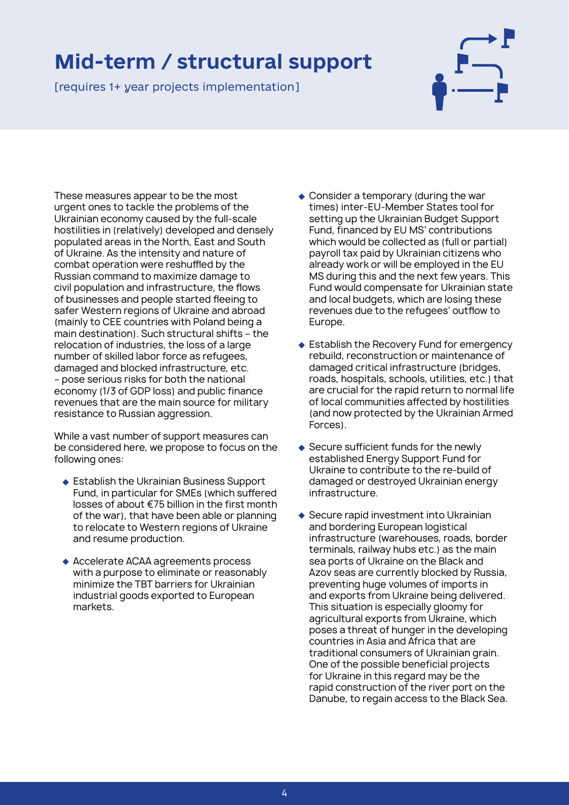### **Mid-term / structural support**

[requires 1+ year projects implementation]



These measures appear to be the most urgent ones to tackle the problems of the Ukrainian economy caused by the full-scale hostilities in (relatively) developed and densely populated areas in the North, East and South of Ukraine. As the intensity and nature of combat operation were reshuffled by the Russian command to maximize damage to civil population and infrastructure, the flows of businesses and people started fleeing to safer Western regions of Ukraine and abroad (mainly to CEE countries with Poland being a main destination). Such structural shifts – the relocation of industries, the loss of a large number of skilled labor force as refugees, damaged and blocked infrastructure, etc. – pose serious risks for both the national economy (1/3 of GDP loss) and public finance revenues that are the main source for military resistance to Russian aggression.

While a vast number of support measures can be considered here, we propose to focus on the following ones:

- Establish the Ukrainian Business Support Fund, in particular for SMEs (which suffered losses of about €75 billion in the first month of the war), that have been able or planning to relocate to Western regions of Ukraine and resume production.
- Accelerate ACAA agreements process with a purpose to eliminate or reasonably minimize the TBT barriers for Ukrainian industrial goods exported to European markets.
- Consider a temporary (during the war times) inter-EU-Member States tool for setting up the Ukrainian Budget Support Fund, financed by EU MS' contributions which would be collected as (full or partial) payroll tax paid by Ukrainian citizens who already work or will be employed in the EU MS during this and the next few years. This Fund would compensate for Ukrainian state and local budgets, which are losing these revenues due to the refugees' outflow to Europe.
- ◆ Establish the Recovery Fund for emergency rebuild, reconstruction or maintenance of damaged critical infrastructure (bridges, roads, hospitals, schools, utilities, etc.) that are crucial for the rapid return to normal life of local communities affected by hostilities (and now protected by the Ukrainian Armed Forces).
- Secure sufficient funds for the newly established Energy Support Fund for Ukraine to contribute to the re-build of damaged or destroyed Ukrainian energy infrastructure.
- Secure rapid investment into Ukrainian and bordering European logistical infrastructure (warehouses, roads, border terminals, railway hubs etc.) as the main sea ports of Ukraine on the Black and Azov seas are currently blocked by Russia, preventing huge volumes of imports in and exports from Ukraine being delivered. This situation is especially gloomy for agricultural exports from Ukraine, which poses a threat of hunger in the developing countries in Asia and Africa that are traditional consumers of Ukrainian grain. One of the possible beneficial projects for Ukraine in this regard may be the rapid construction of the river port on the Danube, to regain access to the Black Sea.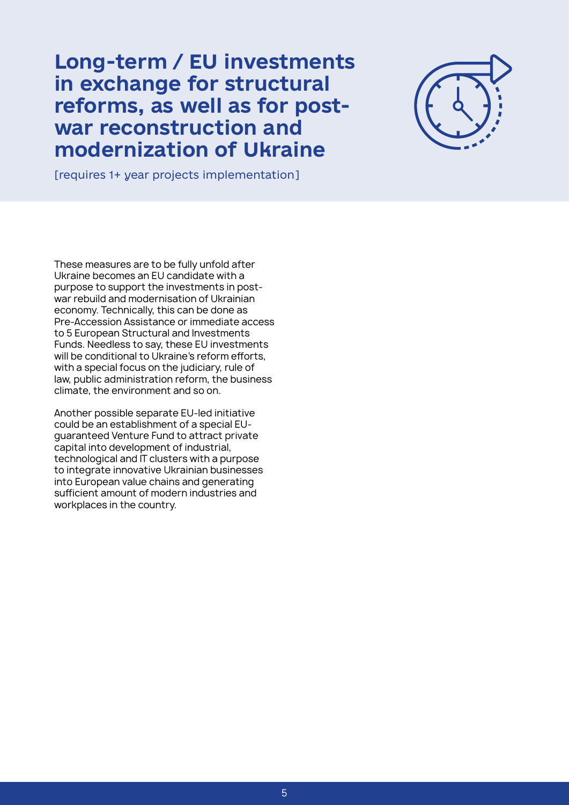#### **Long-term / EU investments in exchange for structural reforms, as well as for postwar reconstruction and modernization of Ukraine**



[requires 1+ year projects implementation]

These measures are to be fully unfold after Ukraine becomes an EU candidate with a purpose to support the investments in postwar rebuild and modernisation of Ukrainian economy. Technically, this can be done as Pre-Accession Assistance or immediate access to 5 European Structural and Investments Funds. Needless to say, these EU investments will be conditional to Ukraine's reform efforts, with a special focus on the judiciary, rule of law, public administration reform, the business climate, the environment and so on.

Another possible separate EU-led initiative could be an establishment of a special EUguaranteed Venture Fund to attract private capital into development of industrial, technological and IT clusters with a purpose to integrate innovative Ukrainian businesses into European value chains and generating sufficient amount of modern industries and workplaces in the country.